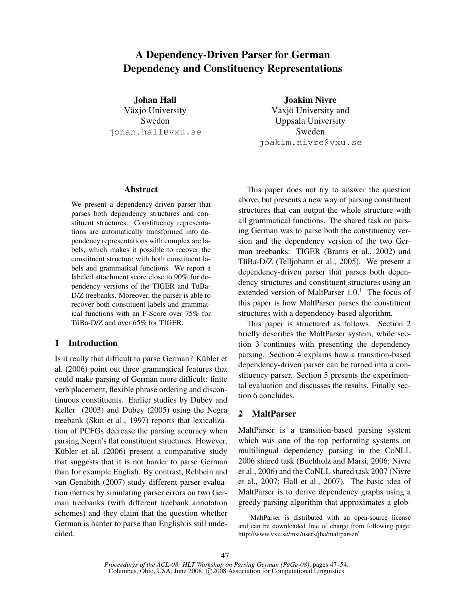# A Dependency-Driven Parser for German Dependency and Constituency Representations

Johan Hall

Växjö University Sweden johan.hall@vxu.se Joakim Nivre

Växjö University and Uppsala University Sweden joakim.nivre@vxu.se

### Abstract

We present a dependency-driven parser that parses both dependency structures and constituent structures. Constituency representations are automatically transformed into dependency representations with complex arc labels, which makes it possible to recover the constituent structure with both constituent labels and grammatical functions. We report a labeled attachment score close to 90% for dependency versions of the TIGER and TüBa-D/Z treebanks. Moreover, the parser is able to recover both constituent labels and grammatical functions with an F-Score over 75% for TüBa-D/Z and over 65% for TIGER.

# 1 Introduction

Is it really that difficult to parse German? Kübler et al. (2006) point out three grammatical features that could make parsing of German more difficult: finite verb placement, flexible phrase ordering and discontinuous constituents. Earlier studies by Dubey and Keller (2003) and Dubey (2005) using the Negra treebank (Skut et al., 1997) reports that lexicalization of PCFGs decrease the parsing accuracy when parsing Negra's flat constituent structures. However, Kübler et al. (2006) present a comparative study that suggests that it is not harder to parse German than for example English. By contrast, Rehbein and van Genabith (2007) study different parser evaluation metrics by simulating parser errors on two German treebanks (with different treebank annotation schemes) and they claim that the question whether German is harder to parse than English is still undecided.

This paper does not try to answer the question above, but presents a new way of parsing constituent structures that can output the whole structure with all grammatical functions. The shared task on parsing German was to parse both the constituency version and the dependency version of the two German treebanks: TIGER (Brants et al., 2002) and TüBa-D/Z (Telljohann et al., 2005). We present a dependency-driven parser that parses both dependency structures and constituent structures using an extended version of MaltParser  $1.0<sup>1</sup>$ . The focus of this paper is how MaltParser parses the constituent structures with a dependency-based algorithm.

This paper is structured as follows. Section 2 briefly describes the MaltParser system, while section 3 continues with presenting the dependency parsing. Section 4 explains how a transition-based dependency-driven parser can be turned into a constituency parser. Section 5 presents the experimental evaluation and discusses the results. Finally section 6 concludes.

# 2 MaltParser

MaltParser is a transition-based parsing system which was one of the top performing systems on multilingual dependency parsing in the CoNLL 2006 shared task (Buchholz and Marsi, 2006; Nivre et al., 2006) and the CoNLL shared task 2007 (Nivre et al., 2007; Hall et al., 2007). The basic idea of MaltParser is to derive dependency graphs using a greedy parsing algorithm that approximates a glob-

<sup>&</sup>lt;sup>1</sup>MaltParser is distributed with an open-source license and can be downloaded free of charge from following page: http://www.vxu.se/msi/users/jha/maltparser/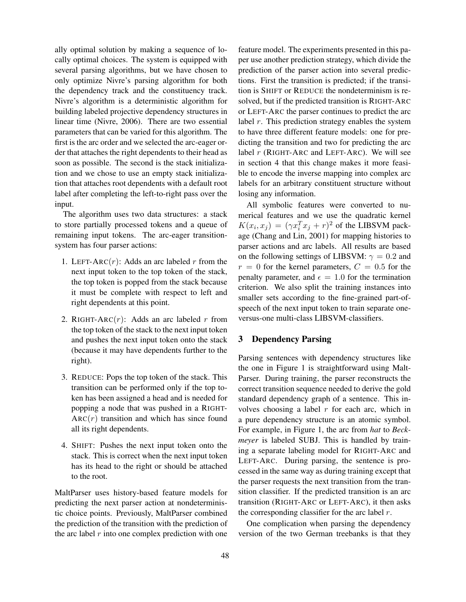ally optimal solution by making a sequence of locally optimal choices. The system is equipped with several parsing algorithms, but we have chosen to only optimize Nivre's parsing algorithm for both the dependency track and the constituency track. Nivre's algorithm is a deterministic algorithm for building labeled projective dependency structures in linear time (Nivre, 2006). There are two essential parameters that can be varied for this algorithm. The first is the arc order and we selected the arc-eager order that attaches the right dependents to their head as soon as possible. The second is the stack initialization and we chose to use an empty stack initialization that attaches root dependents with a default root label after completing the left-to-right pass over the input.

The algorithm uses two data structures: a stack to store partially processed tokens and a queue of remaining input tokens. The arc-eager transitionsystem has four parser actions:

- 1. LEFT-ARC( $r$ ): Adds an arc labeled r from the next input token to the top token of the stack, the top token is popped from the stack because it must be complete with respect to left and right dependents at this point.
- 2. RIGHT-ARC $(r)$ : Adds an arc labeled r from the top token of the stack to the next input token and pushes the next input token onto the stack (because it may have dependents further to the right).
- 3. REDUCE: Pops the top token of the stack. This transition can be performed only if the top token has been assigned a head and is needed for popping a node that was pushed in a RIGHT- $ARC(r)$  transition and which has since found all its right dependents.
- 4. SHIFT: Pushes the next input token onto the stack. This is correct when the next input token has its head to the right or should be attached to the root.

MaltParser uses history-based feature models for predicting the next parser action at nondeterministic choice points. Previously, MaltParser combined the prediction of the transition with the prediction of the arc label  $r$  into one complex prediction with one feature model. The experiments presented in this paper use another prediction strategy, which divide the prediction of the parser action into several predictions. First the transition is predicted; if the transition is SHIFT or REDUCE the nondeterminism is resolved, but if the predicted transition is RIGHT-ARC or LEFT-ARC the parser continues to predict the arc label  $r$ . This prediction strategy enables the system to have three different feature models: one for predicting the transition and two for predicting the arc label  $r$  (RIGHT-ARC and LEFT-ARC). We will see in section 4 that this change makes it more feasible to encode the inverse mapping into complex arc labels for an arbitrary constituent structure without losing any information.

All symbolic features were converted to numerical features and we use the quadratic kernel  $K(x_i, x_j) = (\gamma x_i^T x_j + r)^2$  of the LIBSVM package (Chang and Lin, 2001) for mapping histories to parser actions and arc labels. All results are based on the following settings of LIBSVM:  $\gamma = 0.2$  and  $r = 0$  for the kernel parameters,  $C = 0.5$  for the penalty parameter, and  $\epsilon = 1.0$  for the termination criterion. We also split the training instances into smaller sets according to the fine-grained part-ofspeech of the next input token to train separate oneversus-one multi-class LIBSVM-classifiers.

## 3 Dependency Parsing

Parsing sentences with dependency structures like the one in Figure 1 is straightforward using Malt-Parser. During training, the parser reconstructs the correct transition sequence needed to derive the gold standard dependency graph of a sentence. This involves choosing a label  $r$  for each arc, which in a pure dependency structure is an atomic symbol. For example, in Figure 1, the arc from *hat* to *Beckmeyer* is labeled SUBJ. This is handled by training a separate labeling model for RIGHT-ARC and LEFT-ARC. During parsing, the sentence is processed in the same way as during training except that the parser requests the next transition from the transition classifier. If the predicted transition is an arc transition (RIGHT-ARC or LEFT-ARC), it then asks the corresponding classifier for the arc label  $r$ .

One complication when parsing the dependency version of the two German treebanks is that they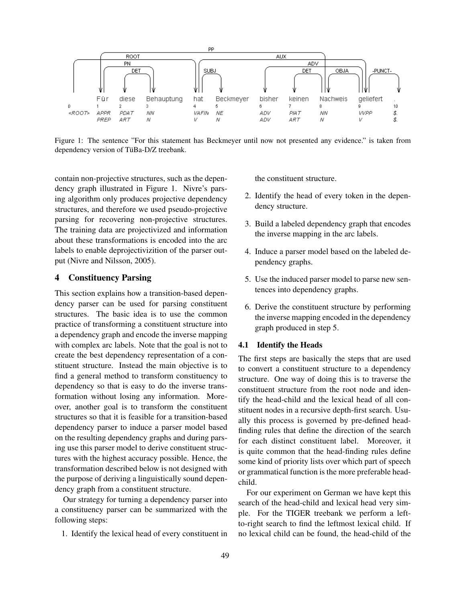

Figure 1: The sentence "For this statement has Beckmeyer until now not presented any evidence." is taken from dependency version of TüBa-D/Z treebank.

contain non-projective structures, such as the dependency graph illustrated in Figure 1. Nivre's parsing algorithm only produces projective dependency structures, and therefore we used pseudo-projective parsing for recovering non-projective structures. The training data are projectivized and information about these transformations is encoded into the arc labels to enable deprojectivizition of the parser output (Nivre and Nilsson, 2005).

# 4 Constituency Parsing

This section explains how a transition-based dependency parser can be used for parsing constituent structures. The basic idea is to use the common practice of transforming a constituent structure into a dependency graph and encode the inverse mapping with complex arc labels. Note that the goal is not to create the best dependency representation of a constituent structure. Instead the main objective is to find a general method to transform constituency to dependency so that is easy to do the inverse transformation without losing any information. Moreover, another goal is to transform the constituent structures so that it is feasible for a transition-based dependency parser to induce a parser model based on the resulting dependency graphs and during parsing use this parser model to derive constituent structures with the highest accuracy possible. Hence, the transformation described below is not designed with the purpose of deriving a linguistically sound dependency graph from a constituent structure.

Our strategy for turning a dependency parser into a constituency parser can be summarized with the following steps:

1. Identify the lexical head of every constituent in

the constituent structure.

- 2. Identify the head of every token in the dependency structure.
- 3. Build a labeled dependency graph that encodes the inverse mapping in the arc labels.
- 4. Induce a parser model based on the labeled dependency graphs.
- 5. Use the induced parser model to parse new sentences into dependency graphs.
- 6. Derive the constituent structure by performing the inverse mapping encoded in the dependency graph produced in step 5.

#### 4.1 Identify the Heads

The first steps are basically the steps that are used to convert a constituent structure to a dependency structure. One way of doing this is to traverse the constituent structure from the root node and identify the head-child and the lexical head of all constituent nodes in a recursive depth-first search. Usually this process is governed by pre-defined headfinding rules that define the direction of the search for each distinct constituent label. Moreover, it is quite common that the head-finding rules define some kind of priority lists over which part of speech or grammatical function is the more preferable headchild.

For our experiment on German we have kept this search of the head-child and lexical head very simple. For the TIGER treebank we perform a leftto-right search to find the leftmost lexical child. If no lexical child can be found, the head-child of the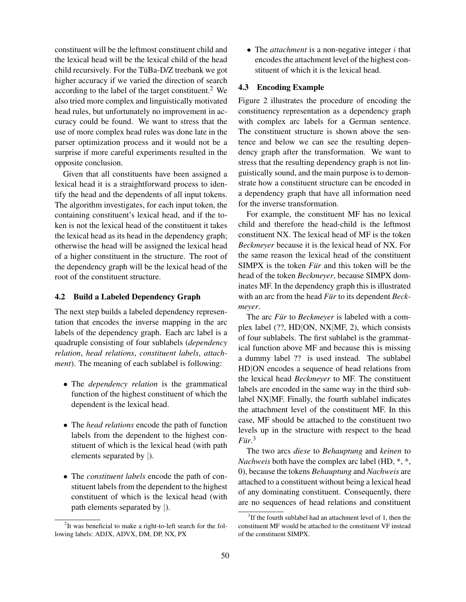constituent will be the leftmost constituent child and the lexical head will be the lexical child of the head child recursively. For the TüBa-D/Z treebank we got higher accuracy if we varied the direction of search according to the label of the target constituent.<sup>2</sup> We also tried more complex and linguistically motivated head rules, but unfortunately no improvement in accuracy could be found. We want to stress that the use of more complex head rules was done late in the parser optimization process and it would not be a surprise if more careful experiments resulted in the opposite conclusion.

Given that all constituents have been assigned a lexical head it is a straightforward process to identify the head and the dependents of all input tokens. The algorithm investigates, for each input token, the containing constituent's lexical head, and if the token is not the lexical head of the constituent it takes the lexical head as its head in the dependency graph; otherwise the head will be assigned the lexical head of a higher constituent in the structure. The root of the dependency graph will be the lexical head of the root of the constituent structure.

#### 4.2 Build a Labeled Dependency Graph

The next step builds a labeled dependency representation that encodes the inverse mapping in the arc labels of the dependency graph. Each arc label is a quadruple consisting of four sublabels (*dependency relation*, *head relations*, *constituent labels*, *attachment*). The meaning of each sublabel is following:

- The *dependency relation* is the grammatical function of the highest constituent of which the dependent is the lexical head.
- The *head relations* encode the path of function labels from the dependent to the highest constituent of which is the lexical head (with path elements separated by |).
- The *constituent labels* encode the path of constituent labels from the dependent to the highest constituent of which is the lexical head (with path elements separated by |).

• The *attachment* is a non-negative integer *i* that encodes the attachment level of the highest constituent of which it is the lexical head.

### 4.3 Encoding Example

Figure 2 illustrates the procedure of encoding the constituency representation as a dependency graph with complex arc labels for a German sentence. The constituent structure is shown above the sentence and below we can see the resulting dependency graph after the transformation. We want to stress that the resulting dependency graph is not linguistically sound, and the main purpose is to demonstrate how a constituent structure can be encoded in a dependency graph that have all information need for the inverse transformation.

For example, the constituent MF has no lexical child and therefore the head-child is the leftmost constituent NX. The lexical head of MF is the token *Beckmeyer* because it is the lexical head of NX. For the same reason the lexical head of the constituent SIMPX is the token *Für* and this token will be the head of the token *Beckmeyer*, because SIMPX dominates MF. In the dependency graph this is illustrated with an arc from the head *Für* to its dependent *Beckmeyer*.

The arc *Für* to *Beckmeyer* is labeled with a complex label (??, HD|ON, NX|MF, 2), which consists of four sublabels. The first sublabel is the grammatical function above MF and because this is missing a dummy label ?? is used instead. The sublabel HD|ON encodes a sequence of head relations from the lexical head *Beckmeyer* to MF. The constituent labels are encoded in the same way in the third sublabel NX|MF. Finally, the fourth sublabel indicates the attachment level of the constituent MF. In this case, MF should be attached to the constituent two levels up in the structure with respect to the head *Fur¨* . 3

The two arcs *diese* to *Behauptung* and *keinen* to *Nachweis* both have the complex arc label (HD,  $^*,$  \*, 0), because the tokens *Behauptung* and *Nachweis* are attached to a constituent without being a lexical head of any dominating constituent. Consequently, there are no sequences of head relations and constituent

 $2$ It was beneficial to make a right-to-left search for the following labels: ADJX, ADVX, DM, DP, NX, PX

<sup>&</sup>lt;sup>3</sup>If the fourth sublabel had an attachment level of 1, then the constituent MF would be attached to the constituent VF instead of the constituent SIMPX.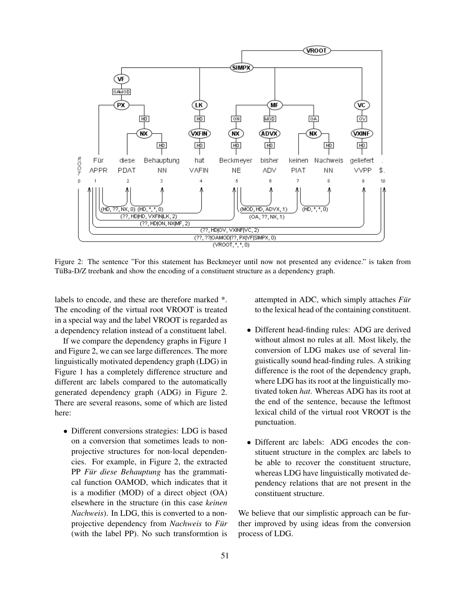

Figure 2: The sentence "For this statement has Beckmeyer until now not presented any evidence." is taken from TüBa-D/Z treebank and show the encoding of a constituent structure as a dependency graph.

labels to encode, and these are therefore marked \*. The encoding of the virtual root VROOT is treated in a special way and the label VROOT is regarded as a dependency relation instead of a constituent label.

If we compare the dependency graphs in Figure 1 and Figure 2, we can see large differences. The more linguistically motivated dependency graph (LDG) in Figure 1 has a completely difference structure and different arc labels compared to the automatically generated dependency graph (ADG) in Figure 2. There are several reasons, some of which are listed here:

• Different conversions strategies: LDG is based on a conversion that sometimes leads to nonprojective structures for non-local dependencies. For example, in Figure 2, the extracted PP Für diese Behauptung has the grammatical function OAMOD, which indicates that it is a modifier (MOD) of a direct object (OA) elsewhere in the structure (in this case *keinen Nachweis*). In LDG, this is converted to a nonprojective dependency from *Nachweis* to *Für* (with the label PP). No such transformtion is attempted in ADC, which simply attaches *Für* to the lexical head of the containing constituent.

- Different head-finding rules: ADG are derived without almost no rules at all. Most likely, the conversion of LDG makes use of several linguistically sound head-finding rules. A striking difference is the root of the dependency graph, where LDG has its root at the linguistically motivated token *hat*. Whereas ADG has its root at the end of the sentence, because the leftmost lexical child of the virtual root VROOT is the punctuation.
- Different arc labels: ADG encodes the constituent structure in the complex arc labels to be able to recover the constituent structure, whereas LDG have linguistically motivated dependency relations that are not present in the constituent structure.

We believe that our simplistic approach can be further improved by using ideas from the conversion process of LDG.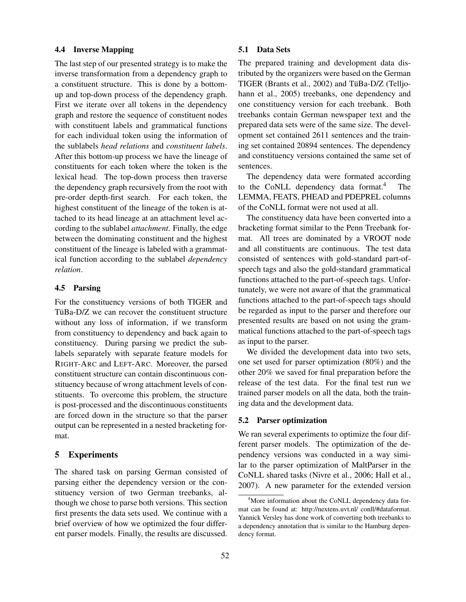## 4.4 Inverse Mapping

The last step of our presented strategy is to make the inverse transformation from a dependency graph to a constituent structure. This is done by a bottomup and top-down process of the dependency graph. First we iterate over all tokens in the dependency graph and restore the sequence of constituent nodes with constituent labels and grammatical functions for each individual token using the information of the sublabels *head relations* and *constituent labels*. After this bottom-up process we have the lineage of constituents for each token where the token is the lexical head. The top-down process then traverse the dependency graph recursively from the root with pre-order depth-first search. For each token, the highest constituent of the lineage of the token is attached to its head lineage at an attachment level according to the sublabel *attachment*. Finally, the edge between the dominating constituent and the highest constituent of the lineage is labeled with a grammatical function according to the sublabel *dependency relation*.

## 4.5 Parsing

For the constituency versions of both TIGER and TüBa-D/Z we can recover the constituent structure without any loss of information, if we transform from constituency to dependency and back again to constituency. During parsing we predict the sublabels separately with separate feature models for RIGHT-ARC and LEFT-ARC. Moreover, the parsed constituent structure can contain discontinuous constituency because of wrong attachment levels of constituents. To overcome this problem, the structure is post-processed and the discontinuous constituents are forced down in the structure so that the parser output can be represented in a nested bracketing format.

## 5 Experiments

The shared task on parsing German consisted of parsing either the dependency version or the constituency version of two German treebanks, although we chose to parse both versions. This section first presents the data sets used. We continue with a brief overview of how we optimized the four different parser models. Finally, the results are discussed.

#### 5.1 Data Sets

The prepared training and development data distributed by the organizers were based on the German TIGER (Brants et al., 2002) and TüBa-D/Z (Telljohann et al., 2005) treebanks, one dependency and one constituency version for each treebank. Both treebanks contain German newspaper text and the prepared data sets were of the same size. The development set contained 2611 sentences and the training set contained 20894 sentences. The dependency and constituency versions contained the same set of sentences.

The dependency data were formated according to the CoNLL dependency data format.<sup>4</sup> LEMMA, FEATS, PHEAD and PDEPREL columns of the CoNLL format were not used at all.

The constituency data have been converted into a bracketing format similar to the Penn Treebank format. All trees are dominated by a VROOT node and all constituents are continuous. The test data consisted of sentences with gold-standard part-ofspeech tags and also the gold-standard grammatical functions attached to the part-of-speech tags. Unfortunately, we were not aware of that the grammatical functions attached to the part-of-speech tags should be regarded as input to the parser and therefore our presented results are based on not using the grammatical functions attached to the part-of-speech tags as input to the parser.

We divided the development data into two sets, one set used for parser optimization (80%) and the other 20% we saved for final preparation before the release of the test data. For the final test run we trained parser models on all the data, both the training data and the development data.

#### 5.2 Parser optimization

We ran several experiments to optimize the four different parser models. The optimization of the dependency versions was conducted in a way similar to the parser optimization of MaltParser in the CoNLL shared tasks (Nivre et al., 2006; Hall et al., 2007). A new parameter for the extended version

<sup>4</sup>More information about the CoNLL dependency data format can be found at: http://nextens.uvt.nl/ conll/#dataformat. Yannick Versley has done work of converting both treebanks to a dependency annotation that is similar to the Hamburg dependency format.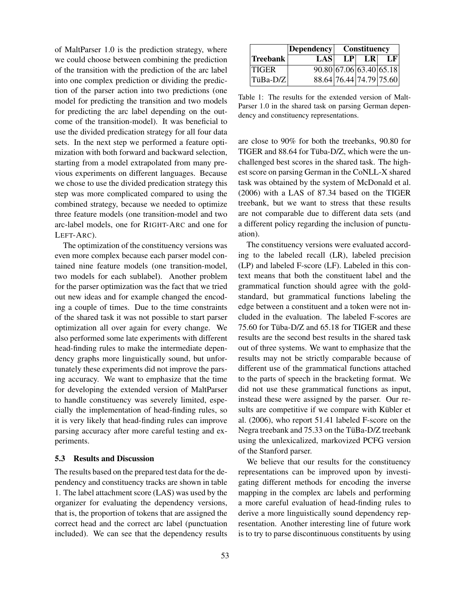of MaltParser 1.0 is the prediction strategy, where we could choose between combining the prediction of the transition with the prediction of the arc label into one complex prediction or dividing the prediction of the parser action into two predictions (one model for predicting the transition and two models for predicting the arc label depending on the outcome of the transition-model). It was beneficial to use the divided predication strategy for all four data sets. In the next step we performed a feature optimization with both forward and backward selection, starting from a model extrapolated from many previous experiments on different languages. Because we chose to use the divided predication strategy this step was more complicated compared to using the combined strategy, because we needed to optimize three feature models (one transition-model and two arc-label models, one for RIGHT-ARC and one for LEFT-ARC).

The optimization of the constituency versions was even more complex because each parser model contained nine feature models (one transition-model, two models for each sublabel). Another problem for the parser optimization was the fact that we tried out new ideas and for example changed the encoding a couple of times. Due to the time constraints of the shared task it was not possible to start parser optimization all over again for every change. We also performed some late experiments with different head-finding rules to make the intermediate dependency graphs more linguistically sound, but unfortunately these experiments did not improve the parsing accuracy. We want to emphasize that the time for developing the extended version of MaltParser to handle constituency was severely limited, especially the implementation of head-finding rules, so it is very likely that head-finding rules can improve parsing accuracy after more careful testing and experiments.

#### 5.3 Results and Discussion

The results based on the prepared test data for the dependency and constituency tracks are shown in table 1. The label attachment score (LAS) was used by the organizer for evaluating the dependency versions, that is, the proportion of tokens that are assigned the correct head and the correct arc label (punctuation included). We can see that the dependency results

|              | Dependency | Constituency |                         |                        |
|--------------|------------|--------------|-------------------------|------------------------|
| Treebank     | LAS        | LP           | LR                      | $\mathbf{L}\mathbf{F}$ |
| <b>TIGER</b> |            |              | 90.80 67.06 63.40 65.18 |                        |
| $ TiBa-D/Z $ |            |              | 88.64 76.44 74.79 75.60 |                        |

Table 1: The results for the extended version of Malt-Parser 1.0 in the shared task on parsing German dependency and constituency representations.

are close to 90% for both the treebanks, 90.80 for TIGER and 88.64 for Tüba-D/Z, which were the unchallenged best scores in the shared task. The highest score on parsing German in the CoNLL-X shared task was obtained by the system of McDonald et al. (2006) with a LAS of 87.34 based on the TIGER treebank, but we want to stress that these results are not comparable due to different data sets (and a different policy regarding the inclusion of punctuation).

The constituency versions were evaluated according to the labeled recall (LR), labeled precision (LP) and labeled F-score (LF). Labeled in this context means that both the constituent label and the grammatical function should agree with the goldstandard, but grammatical functions labeling the edge between a constituent and a token were not included in the evaluation. The labeled F-scores are  $75.60$  for Tüba-D/Z and  $65.18$  for TIGER and these results are the second best results in the shared task out of three systems. We want to emphasize that the results may not be strictly comparable because of different use of the grammatical functions attached to the parts of speech in the bracketing format. We did not use these grammatical functions as input, instead these were assigned by the parser. Our results are competitive if we compare with Kübler et al. (2006), who report 51.41 labeled F-score on the Negra treebank and 75.33 on the TüBa-D/Z treebank using the unlexicalized, markovized PCFG version of the Stanford parser.

We believe that our results for the constituency representations can be improved upon by investigating different methods for encoding the inverse mapping in the complex arc labels and performing a more careful evaluation of head-finding rules to derive a more linguistically sound dependency representation. Another interesting line of future work is to try to parse discontinuous constituents by using